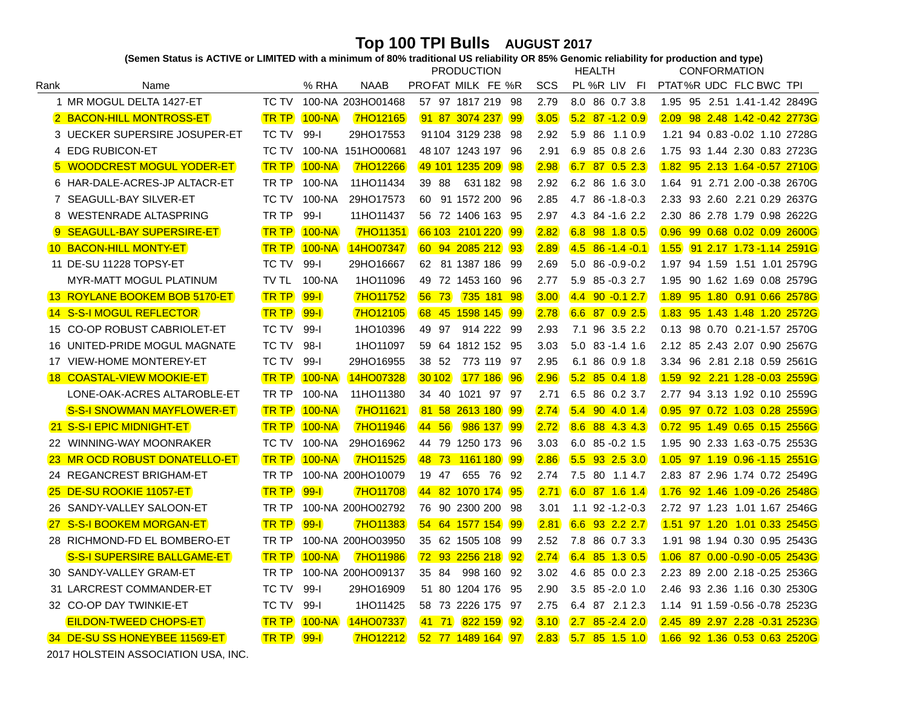Top 100 TPI Bulls AUGUST 2017)<br>(Semen Status is ACTIVE or LIMITED with a minimum of 80% traditional US reliability OR 85% Genomic reliability for production and type)

|           |                                      |              |            |                   | <b>PRODUCTION</b> |                   |           |      | <b>HEALTH</b> |                         |      | <b>CONFORMATION</b>             |  |  |  |
|-----------|--------------------------------------|--------------|------------|-------------------|-------------------|-------------------|-----------|------|---------------|-------------------------|------|---------------------------------|--|--|--|
| Rank      | Name                                 |              | % RHA      | <b>NAAB</b>       |                   | PROFAT MILK FE %R |           | SCS  |               | PL %R LIV FI            |      | PTAT%R UDC FLC BWC TPI          |  |  |  |
|           | 1 MR MOGUL DELTA 1427-ET             | TC TV        |            | 100-NA 203HO01468 |                   | 57 97 1817 219 98 |           | 2.79 |               | 8.0 86 0.7 3.8          |      | 1.95 95 2.51 1.41-1.42 2849G    |  |  |  |
|           | 2 BACON-HILL MONTROSS-ET             | <b>TR TP</b> | $100-NA$   | <b>7HO12165</b>   |                   | 91 87 3074 237    | 99        | 3.05 |               | $5.2$ 87 -1.2 0.9       |      | 2.09 98 2.48 1.42 -0.42 2773G   |  |  |  |
|           | 3 UECKER SUPERSIRE JOSUPER-ET        | TC TV        | $99-I$     | 29HO17553         |                   | 91104 3129 238    | -98       | 2.92 |               | 5.9 86 1.1 0.9          |      | 1.21 94 0.83 - 0.02 1.10 2728G  |  |  |  |
|           | 4 EDG RUBICON-ET                     | TC TV        |            | 100-NA 151HO00681 |                   | 48 107 1243 197   | -96       | 2.91 | 6.9           | 85 0.8 2.6              |      | 1.75 93 1.44 2.30 0.83 2723G    |  |  |  |
|           | 5 WOODCREST MOGUL YODER-ET           | <b>TR TP</b> | $100 - NA$ | <b>7HO12266</b>   |                   | 49 101 1235 209   | 98        | 2.98 |               | 6.7 87 0.5 2.3          |      | 1.82 95 2.13 1.64 -0.57 2710G   |  |  |  |
|           | 6 HAR-DALE-ACRES-JP ALTACR-ET        | TR TP        | 100-NA     | 11HO11434         | 39 88             | 631 182 98        |           | 2.92 |               | 6.2 86 1.6 3.0          | 1.64 | 91 2.71 2.00 -0.38 2670G        |  |  |  |
|           | 7 SEAGULL-BAY SILVER-ET              | TC TV        | 100-NA     | 29HO17573         |                   | 60 91 1572 200    | 96        | 2.85 |               | 4.7 86 -1.8 -0.3        |      | 2.33 93 2.60 2.21 0.29 2637G    |  |  |  |
|           | 8 WESTENRADE ALTASPRING              | TR TP        | $99-I$     | 11HO11437         |                   | 56 72 1406 163    | -95       | 2.97 |               | 4.3 84 -1.6 2.2         |      | 2.30 86 2.78 1.79 0.98 2622G    |  |  |  |
|           | SEAGULL-BAY SUPERSIRE-ET             | <b>TR TP</b> | $100 - NA$ | <b>7HO11351</b>   |                   | 66 103 2101 220   | 99        | 2.82 |               | 6.8 98 1.8 0.5          | 0.96 | 99 0.68 0.02 0.09 2600G         |  |  |  |
|           | <b>10 BACON-HILL MONTY-ET</b>        | <b>TR TP</b> | $100-NA$   | 14HO07347         |                   | 60 94 2085 212    | 93        | 2.89 |               | $4.5 \t86 - 1.4 \t-0.1$ | 1.55 | <u>91 2.17 1.73 -1.14 2591G</u> |  |  |  |
|           | 11 DE-SU 11228 TOPSY-ET              | TC TV        | $99 - 1$   | 29HO16667         |                   | 62 81 1387 186    | -99       | 2.69 |               | $5.0$ 86 -0.9 -0.2      | 1.97 | 94 1.59 1.51 1.01 2579G         |  |  |  |
|           | MYR-MATT MOGUL PLATINUM              | TV TL        | 100-NA     | 1HO11096          |                   | 49 72 1453 160    | -96       | 2.77 |               | 5.9 85 - 0.3 2.7        |      | 1.95 90 1.62 1.69 0.08 2579G    |  |  |  |
|           | <b>13 ROYLANE BOOKEM BOB 5170-ET</b> | <b>TR TP</b> | $99-1$     | <b>7HO11752</b>   | $56 \t 73$        | 735 181           | 98        | 3.00 |               | $4.4$ 90 - 0.1 2.7      | 1.89 | 95 1.80 0.91 0.66 2578G         |  |  |  |
|           | <b>14 S-S-I MOGUL REFLECTOR</b>      | <b>TR TP</b> | $99-1$     | <b>7HO12105</b>   |                   | 68 45 1598 145    | 99        | 2.78 |               | $6.6$ 87 0.9 2.5        |      | 1.83 95 1.43 1.48 1.20 2572G    |  |  |  |
| 15        | <b>CO-OP ROBUST CABRIOLET-ET</b>     | <b>TC TV</b> | $99-I$     | 1HO10396          | 49 97             | 914 222 99        |           | 2.93 |               | 7.1 96 3.5 2.2          |      | 0.13 98 0.70 0.21-1.57 2570G    |  |  |  |
| 16        | UNITED-PRIDE MOGUL MAGNATE           | TC TV        | $98-1$     | 1HO11097          |                   | 59 64 1812 152 95 |           | 3.03 |               | $5.0$ 83 -1.4 1.6       |      | 2.12 85 2.43 2.07 0.90 2567G    |  |  |  |
| 17        | <b>VIEW-HOME MONTEREY-ET</b>         | <b>TC TV</b> | $99-I$     | 29HO16955         | 38 52             | 773 119           | - 97      | 2.95 |               | 6.1 86 0.9 1.8          |      | 3.34 96 2.81 2.18 0.59 2561G    |  |  |  |
|           | <b>18 COASTAL-VIEW MOOKIE-ET</b>     | <b>TR TP</b> | $100-NA$   | 14HO07328         | 30 102            | 177 186           | 96        | 2.96 |               | $5.2$ 85 0.4 1.8        |      | 1.59 92 2.21 1.28 -0.03 2559G   |  |  |  |
|           | LONE-OAK-ACRES ALTAROBLE-ET          | TR TP        | 100-NA     | 11HO11380         | 34 40             | 1021 97 97        |           | 2.71 |               | 6.5 86 0.2 3.7          |      | 2.77 94 3.13 1.92 0.10 2559G    |  |  |  |
|           | <b>S-S-I SNOWMAN MAYFLOWER-ET</b>    | <b>TR TP</b> | $100 - NA$ | <b>7HO11621</b>   |                   | 81 58 2613 180    | 99        | 2.74 |               | $5.4$ 90 4.0 1.4        |      | 0.95 97 0.72 1.03 0.28 2559G    |  |  |  |
|           | 21 S-S-I EPIC MIDNIGHT-ET            | <b>TR TP</b> | $100-NA$   | <b>7HO11946</b>   | 44 56             | 986 137           | 99        | 2.72 |               | 8.6 88 4.3 4.3          |      | 0.72 95 1.49 0.65 0.15 2556G    |  |  |  |
| 22        | WINNING-WAY MOONRAKER                | TC TV        | 100-NA     | 29HO16962         |                   | 44 79 1250 173    | -96       | 3.03 |               | $6.0$ 85 - 0.2 1.5      |      | 1.95 90 2.33 1.63 - 0.75 2553G  |  |  |  |
|           | <b>23 MR OCD ROBUST DONATELLO-ET</b> | <b>TR TP</b> | $100 - NA$ | <b>7HO11525</b>   | 48 73             | 1161 180          | 99        | 2.86 |               | $5.5$ 93 2.5 3.0        |      | 1.05 97 1.19 0.96 -1.15 2551G   |  |  |  |
|           | 24 REGANCREST BRIGHAM-ET             | TR TP        |            | 100-NA 200HO10079 | 19 47             | 655 76            | -92       | 2.74 |               | 7.5 80 1.1 4.7          |      | 2.83 87 2.96 1.74 0.72 2549G    |  |  |  |
| 25        | DE-SU ROOKIE 11057-ET                | <b>TR TP</b> | $99 - 1$   | <b>7HO11708</b>   |                   | 44 82 1070 174    | 95        | 2.71 |               | 6.0 87 1.6 1.4          | 1.76 | 92 1.46 1.09 - 0.26 2548G       |  |  |  |
| 26        | SANDY-VALLEY SALOON-ET               | TR TP        |            | 100-NA 200HO02792 |                   | 76 90 2300 200    | -98       | 3.01 |               | $1.1$ 92 -1.2 -0.3      |      | 2.72 97 1.23 1.01 1.67 2546G    |  |  |  |
| <b>27</b> | <b>S-S-I BOOKEM MORGAN-ET</b>        | <b>TR TP</b> | $99-1$     | <b>7HO11383</b>   |                   | 54 64 1577 154    | <b>99</b> | 2.81 |               | 6.6 93 2.2 2.7          |      | 1.51 97 1.20 1.01 0.33 2545G    |  |  |  |
|           | 28 RICHMOND-FD EL BOMBERO-ET         | TR TP        |            | 100-NA 200HO03950 |                   | 35 62 1505 108    | -99       | 2.52 |               | 7.8 86 0.7 3.3          |      | 1.91 98 1.94 0.30 0.95 2543G    |  |  |  |
|           | <b>S-S-I SUPERSIRE BALLGAME-ET</b>   | <b>TR TP</b> | $100 - NA$ | <b>7HO11986</b>   |                   | 72 93 2256 218    | 92        | 2.74 |               | $6.4$ 85 1.3 0.5        |      | 1.06 87 0.00 -0.90 -0.05 2543G  |  |  |  |
|           | 30 SANDY-VALLEY GRAM-ET              | TR TP        |            | 100-NA 200HO09137 | 35 84             | 998 160           | -92       | 3.02 |               | 4.6 85 0.0 2.3          |      | 2.23 89 2.00 2.18 -0.25 2536G   |  |  |  |
| 31        | LARCREST COMMANDER-ET                | TC TV        | 99-l       | 29HO16909         |                   | 51 80 1204 176    | -95       | 2.90 |               | 3.5 85 - 2.0 1.0        |      | 2.46 93 2.36 1.16 0.30 2530G    |  |  |  |
|           | 32 CO-OP DAY TWINKIE-ET              | TC TV        | $99 - 1$   | 1HO11425          |                   | 58 73 2226 175    | -97       | 2.75 |               | 6.4 87 2.1 2.3          | 1.14 | 91 1.59 - 0.56 - 0.78 2523G     |  |  |  |
|           | <b>EILDON-TWEED CHOPS-ET</b>         | <b>TR TP</b> | $100-NA$   | 14HO07337         | 41 71             | 822 159           | 92        | 3.10 |               | $2.7$ 85 - $2.4$ 2.0    |      | 2.45 89 2.97 2.28 -0.31 2523G   |  |  |  |
|           | 34 DE-SU SS HONEYBEE 11569-ET        | <b>TR TP</b> | $99 - 1$   | 7HO12212          |                   | 52 77 1489 164    | 97        | 2.83 |               | $5.7$ 85 1.5 1.0        |      | 1.66 92 1.36 0.53 0.63 2520G    |  |  |  |

 $^\copyright$  2017 HOLSTEIN ASSOCIATION USA, INC.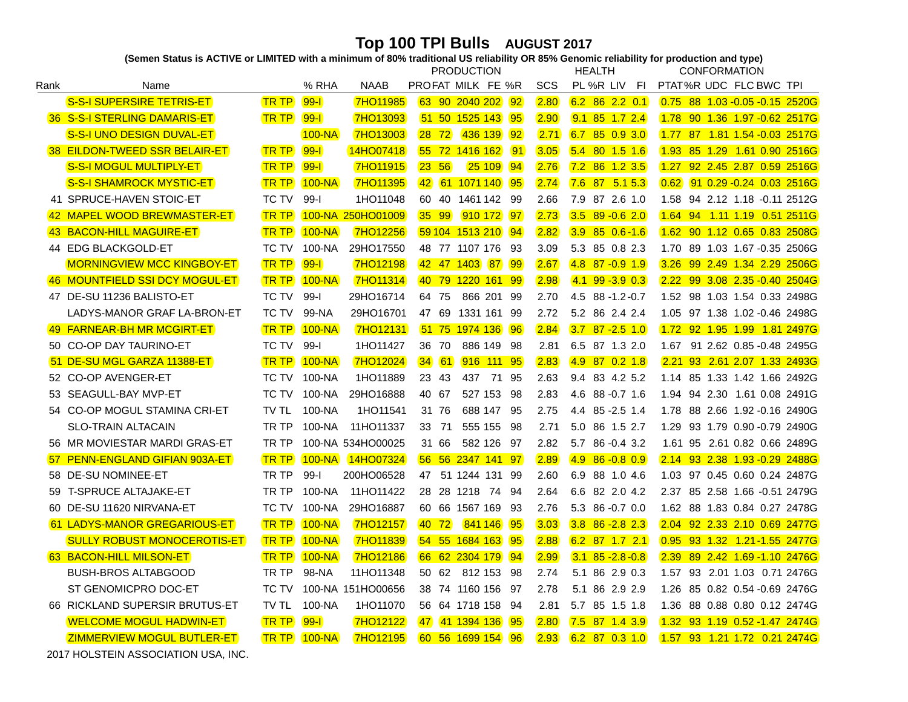Top 100 TPI Bulls AUGUST 2017)<br>(Semen Status is ACTIVE or LIMITED with a minimum of 80% traditional US reliability OR 85% Genomic reliability for production and type)

|              |                                    |              |            |                   | <b>PRODUCTION</b> |                         |                 |      | <b>HEALTH</b>          | <b>CONFORMATION</b>                |  |  |
|--------------|------------------------------------|--------------|------------|-------------------|-------------------|-------------------------|-----------------|------|------------------------|------------------------------------|--|--|
| Rank         | Name                               |              | % RHA      | <b>NAAB</b>       |                   | PROFAT MILK FE %R       |                 | SCS  | PL %R LIV<br>-FI       | PTAT%R UDC FLC BWC TPI             |  |  |
|              | S-S-I SUPERSIRE TETRIS-ET          | <b>TR TP</b> | $99-1$     | <b>7HO11985</b>   |                   | 63 90 2040 202          | 92              | 2.80 | $6.2$ 86 2.2 0.1       | $0.75$ 88 1.03 - 0.05 - 0.15 2520G |  |  |
|              | 36 S-S-I STERLING DAMARIS-ET       | <b>TR TP</b> | $99-1$     | 7HO13093          |                   | 51 50 1525 143          | 95              | 2.90 | $9.1$ 85 1.7 2.4       | 1.78 90 1.36 1.97 -0.62 2517G      |  |  |
|              | S-S-I UNO DESIGN DUVAL-ET          |              | $100 - NA$ | <b>7HO13003</b>   | $28$ 72           | 436 139                 | $\overline{92}$ | 2.71 | $6.7$ 85 0.9 3.0       | 1.77 87 1.81 1.54 -0.03 2517G      |  |  |
|              | 38 EILDON-TWEED SSR BELAIR-ET      | <b>TR TP</b> | $99-1$     | 14HO07418         |                   | 55 72 1416 162          | <b>91</b>       | 3.05 | $5.4$ 80 1.5 1.6       | 1.93 85 1.29 1.61 0.90 2516G       |  |  |
|              | <b>S-S-I MOGUL MULTIPLY-ET</b>     | <b>TR TP</b> | $99-1$     | <b>7HO11915</b>   | 23, 56            | 25 109                  | 94              | 2.76 | 7.2 86 1.2 3.5         | 1.27 92 2.45 2.87 0.59 2516G       |  |  |
|              | <b>S-S-I SHAMROCK MYSTIC-ET</b>    | <b>TR TP</b> | $100 - NA$ | <b>7HO11395</b>   |                   | 42 61 1071 140          | 95              | 2.74 | $7.6$ 87 5.1 5.3       | 91 0.29 - 0.24 0.03 2516G<br>0.62  |  |  |
|              | 41 SPRUCE-HAVEN STOIC-ET           | TC TV        | $99-I$     | 1HO11048          | 60 40             | 1461 142 99             |                 | 2.66 | 7.9 87 2.6 1.0         | 94 2.12 1.18 -0.11 2512G<br>1.58   |  |  |
| $ 42\rangle$ | <b>MAPEL WOOD BREWMASTER-ET</b>    | <b>TR TP</b> |            | 100-NA 250HO01009 | $35 \quad 99$     | 910 172 97              |                 | 2.73 | $3.5$ 89 - 0.6 2.0     | 1.64 94 1.11 1.19 0.51 2511G       |  |  |
|              | 43 BACON-HILL MAGUIRE-ET           | <b>TR TP</b> | $100-NA$   | <b>7HO12256</b>   |                   | 59 104 1513 210 94      |                 | 2.82 | $3.9$ 85 0.6-1.6       | 1.62 90 1.12 0.65 0.83 2508G       |  |  |
|              | 44 EDG BLACKGOLD-ET                | TC TV        | $100-NA$   | 29HO17550         |                   | 48 77 1107 176 93       |                 | 3.09 | 5.3 85 0.8 2.3         | 1.70 89 1.03 1.67 -0.35 2506G      |  |  |
|              | <b>MORNINGVIEW MCC KINGBOY-ET</b>  | <b>TR TP</b> | $99 - 1$   | <b>7HO12198</b>   |                   | 42 47 1403<br><b>87</b> | 99              | 2.67 | $4.8$ 87 - 0.9 1.9     | 3.26 99 2.49 1.34 2.29 2506G       |  |  |
|              | 46 MOUNTFIELD SSI DCY MOGUL-ET     | <b>TR TP</b> | $100-NA$   | <b>7HO11314</b>   |                   | 40 79 1220 161 99       |                 | 2.98 | $4.1$ 99 -3.9 0.3      | 2.22 99 3.08 2.35 - 0.40 2504G     |  |  |
|              | 47 DE-SU 11236 BALISTO-ET          | TC TV        | $99-I$     | 29HO16714         | 64 75             | 866 201 99              |                 | 2.70 | 4.5 88 -1.2 -0.7       | 1.52 98 1.03 1.54 0.33 2498G       |  |  |
|              | LADYS-MANOR GRAF LA-BRON-ET        | TC TV        | 99-NA      | 29HO16701         | 47 69             | 1331 161 99             |                 | 2.72 | 5.2 86 2.4 2.4         | 1.05 97 1.38 1.02 -0.46 2498G      |  |  |
|              | 49 FARNEAR-BH MR MCGIRT-ET         | <b>TR TP</b> | $100 - NA$ | <b>7HO12131</b>   |                   | 51 75 1974 136          | 96              | 2.84 | $3.7$ 87 - 2.5 1.0     | 1.72 92 1.95 1.99 1.81 2497G       |  |  |
| 50           | <b>CO-OP DAY TAURINO-ET</b>        | <b>TC TV</b> | $99 - 1$   | 1HO11427          | 36 70             | 886 149                 | 98              | 2.81 | 6.5 87 1.3 2.0         | 91 2.62 0.85 -0.48 2495G<br>1.67   |  |  |
| 51           | DE-SU MGL GARZA 11388-ET           | <b>TR TP</b> | $100 - NA$ | <b>7HO12024</b>   | 34<br>61          | 916<br>111 95           |                 | 2.83 | 870.21.8<br>4.9        | 93 2.61 2.07 1.33 2493G<br>2.21    |  |  |
| 52           | <b>CO-OP AVENGER-ET</b>            | <b>TC TV</b> | 100-NA     | 1HO11889          | 23 43             | 437<br>71 95            |                 | 2.63 | 9.4 83 4.2 5.2         | 1.14 85 1.33 1.42 1.66 2492G       |  |  |
| 53           | SEAGULL-BAY MVP-ET                 | TC TV        | 100-NA     | 29HO16888         | 40 67             | 527 153                 | 98              | 2.83 | 4.6 88 - 0.7 1.6       | 1.94 94 2.30 1.61 0.08 2491G       |  |  |
|              | 54 CO-OP MOGUL STAMINA CRI-ET      | TV TL        | 100-NA     | 1HO11541          | 31 76             | 688 147                 | 95              | 2.75 | 4.4 85 - 2.5 1.4       | 1.78 88 2.66 1.92 -0.16 2490G      |  |  |
|              | <b>SLO-TRAIN ALTACAIN</b>          | TR TP        | $100-NA$   | 11HO11337         | 33 71             | 555 155                 | 98              | 2.71 | 5.0 86 1.5 2.7         | 1.29 93 1.79 0.90 -0.79 2490G      |  |  |
|              | 56 MR MOVIESTAR MARDI GRAS-ET      | TR TP        |            | 100-NA 534HO00025 | 31 66             | 582 126                 | - 97            | 2.82 | 5.7 86 - 0.4 3.2       | 1.61 95 2.61 0.82 0.66 2489G       |  |  |
| 57           | PENN-ENGLAND GIFIAN 903A-ET        | <b>TR TP</b> | $100 - NA$ | 14HO07324         |                   | 56 56 2347 141 97       |                 | 2.89 | $86 - 0.8$ 0.9<br>4.9  | 2.14 93 2.38 1.93 - 0.29 2488G     |  |  |
| 58           | <b>DE-SU NOMINEE-ET</b>            | TR TP        | $99-I$     | 200HO06528        | 47                | 51 1244 131 99          |                 | 2.60 | 88 1.0 4.6<br>6.9      | 1.03 97 0.45 0.60 0.24 2487G       |  |  |
| 59           | T-SPRUCE ALTAJAKE-ET               | TR TP        | 100-NA     | 11HO11422         | 28 28 1218        | 74                      | -94             | 2.64 | 6.6<br>82 2.0 4.2      | 85 2.58 1.66 -0.51 2479G<br>2.37   |  |  |
| 60.          | DE-SU 11620 NIRVANA-ET             | TC TV        | 100-NA     | 29HO16887         |                   | 60 66 1567 169          | 93              | 2.76 | 5.3 86 - 0.7 0.0       | 1.62 88 1.83 0.84 0.27 2478G       |  |  |
|              | 61 LADYS-MANOR GREGARIOUS-ET       | <b>TR TP</b> | $100 - NA$ | <b>7HO12157</b>   | 40 72             | 841 146                 | 95              | 3.03 | $3.8$ 86 - 2.8 2.3     | 92 2.33 2.10 0.69 2477G<br>2.04    |  |  |
|              | <b>SULLY ROBUST MONOCEROTIS-ET</b> | <b>TR TP</b> | $100-NA$   | <b>7HO11839</b>   |                   | 54 55 1684 163          | 95              | 2.88 | 6.2 87 1.7 2.1         | 0.95 93 1.32 1.21-1.55 2477G       |  |  |
|              | 63 BACON-HILL MILSON-ET            | <b>TR TP</b> | $100 - NA$ | <b>7HO12186</b>   |                   | 66 62 2304 179          | 94              | 2.99 | $3.1$ $85 - 2.8 - 0.8$ | 2.39 89 2.42 1.69 - 1.10 2476G     |  |  |
|              | <b>BUSH-BROS ALTABGOOD</b>         | TR TP        | 98-NA      | 11HO11348         | 50 62             | 812 153                 | -98             | 2.74 | 5.1 86 2.9 0.3         | 1.57 93 2.01 1.03 0.71 2476G       |  |  |
|              | ST GENOMICPRO DOC-ET               | TC TV        |            | 100-NA 151HO00656 |                   | 38 74 1160 156          | -97             | 2.78 | 5.1 86 2.9 2.9         | 85 0.82 0.54 -0.69 2476G<br>1.26   |  |  |
|              | 66 RICKLAND SUPERSIR BRUTUS-ET     | TV TL        | 100-NA     | 1HO11070          |                   | 56 64 1718 158          | 94              | 2.81 | 5.7 85 1.5 1.8         | 88 0.88 0.80 0.12 2474G<br>1.36    |  |  |
|              | <b>WELCOME MOGUL HADWIN-ET</b>     | <b>TR TP</b> | $99 - 1$   | <b>7HO12122</b>   | 47                | 41 1394 136             | 95              | 2.80 | $7.5$ 87 1.4 3.9       | 93 1.19 0.52 - 1.47 2474G<br>1.32  |  |  |
|              | <b>ZIMMERVIEW MOGUL BUTLER-ET</b>  | <b>TR TP</b> | $100-NA$   | <b>7HO12195</b>   |                   | 60 56 1699 154          | 96              | 2.93 | $6.2$ 87 0.3 1.0       | 1.57 93 1.21 1.72 0.21 2474G       |  |  |

 $^\copyright$  2017 HOLSTEIN ASSOCIATION USA, INC.